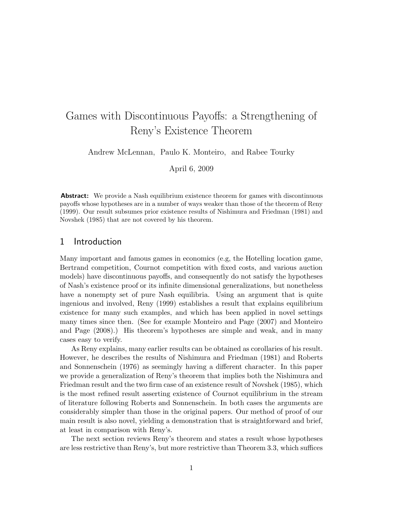# Games with Discontinuous Payoffs: a Strengthening of Reny's Existence Theorem

Andrew McLennan, Paulo K. Monteiro, and Rabee Tourky

April 6, 2009

**Abstract:** We provide a Nash equilibrium existence theorem for games with discontinuous payoffs whose hypotheses are in a number of ways weaker than those of the theorem of Reny (1999). Our result subsumes prior existence results of Nishimura and Friedman (1981) and Novshek (1985) that are not covered by his theorem.

### 1 Introduction

Many important and famous games in economics (e.g, the Hotelling location game, Bertrand competition, Cournot competition with fixed costs, and various auction models) have discontinuous payoffs, and consequently do not satisfy the hypotheses of Nash's existence proof or its infinite dimensional generalizations, but nonetheless have a nonempty set of pure Nash equilibria. Using an argument that is quite ingenious and involved, Reny (1999) establishes a result that explains equilibrium existence for many such examples, and which has been applied in novel settings many times since then. (See for example Monteiro and Page (2007) and Monteiro and Page (2008).) His theorem's hypotheses are simple and weak, and in many cases easy to verify.

As Reny explains, many earlier results can be obtained as corollaries of his result. However, he describes the results of Nishimura and Friedman (1981) and Roberts and Sonnenschein (1976) as seemingly having a different character. In this paper we provide a generalization of Reny's theorem that implies both the Nishimura and Friedman result and the two firm case of an existence result of Novshek (1985), which is the most refined result asserting existence of Cournot equilibrium in the stream of literature following Roberts and Sonnenschein. In both cases the arguments are considerably simpler than those in the original papers. Our method of proof of our main result is also novel, yielding a demonstration that is straightforward and brief, at least in comparison with Reny's.

The next section reviews Reny's theorem and states a result whose hypotheses are less restrictive than Reny's, but more restrictive than Theorem 3.3, which suffices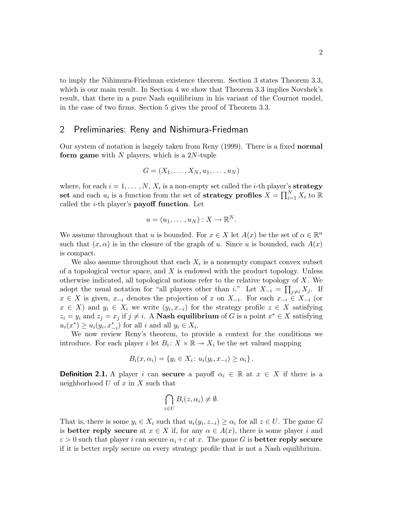to imply the Nihimura-Friedman existence theorem. Section 3 states Theorem 3.3, which is our main result. In Section 4 we show that Theorem 3.3 implies Novshek's result, that there in a pure Nash equilibrium in his variant of the Cournot model, in the case of two firms. Section 5 gives the proof of Theorem 3.3.

#### 2 Preliminaries: Reny and Nishimura-Friedman

Our system of notation is largely taken from Reny (1999). There is a fixed normal form game with  $N$  players, which is a 2N-tuple

$$
G=(X_1,\ldots,X_N,u_1,\ldots,u_N)
$$

where, for each  $i = 1, ..., N$ ,  $X_i$  is a non-empty set called the *i*-th player's **strategy** set and each  $u_i$  is a function from the set of strategy profiles  $X = \prod_{i=1}^N X_i$  to  $\mathbb R$ called the  $i$ -th player's **payoff function**. Let

$$
u=(u_1,\ldots,u_N):X\to\mathbb{R}^N.
$$

We assume throughout that u is bounded. For  $x \in X$  let  $A(x)$  be the set of  $\alpha \in \mathbb{R}^n$ such that  $(x, \alpha)$  is in the closure of the graph of u. Since u is bounded, each  $A(x)$ is compact.

We also assume throughout that each  $X_i$  is a nonempty compact convex subset of a topological vector space, and  $X$  is endowed with the product topology. Unless otherwise indicated, all topological notions refer to the relative topology of X. We adopt the usual notation for "all players other than i." Let  $X_{-i} = \prod_{j \neq i} X_j$ . If  $x \in X$  is given,  $x_{-i}$  denotes the projection of x on  $X_{-i}$ . For each  $x_{-i} \in X_{-i}$  (or  $x \in X$ ) and  $y_i \in X_i$  we write  $(y_i, x_{-i})$  for the strategy profile  $z \in X$  satisfying  $z_i = y_i$  and  $z_j = x_j$  if  $j \neq i$ . A **Nash equilibrium** of G is a point  $x^* \in X$  satisfying  $u_i(x^*) \geq u_i(y_i, x_{-i}^*)$  for all i and all  $y_i \in X_i$ .

We now review Reny's theorem, to provide a context for the conditions we introduce. For each player i let  $B_i: X \times \mathbb{R} \to X_i$  be the set valued mapping

$$
B_i(x, \alpha_i) = \{y_i \in X_i \colon u_i(y_i, x_{-i}) \ge \alpha_i\}.
$$

**Definition 2.1.** A player i can secure a payoff  $\alpha_i \in \mathbb{R}$  at  $x \in X$  if there is a neighborhood  $U$  of  $x$  in  $X$  such that

$$
\bigcap_{z\in U}B_i(z,\alpha_i)\neq\emptyset.
$$

That is, there is some  $y_i \in X_i$  such that  $u_i(y_i, z_{-i}) \geq \alpha_i$  for all  $z \in U$ . The game G is **better reply secure** at  $x \in X$  if, for any  $\alpha \in A(x)$ , there is some player i and  $\varepsilon > 0$  such that player i can secure  $\alpha_i + \varepsilon$  at x. The game G is **better reply secure** if it is better reply secure on every strategy profile that is not a Nash equilibrium.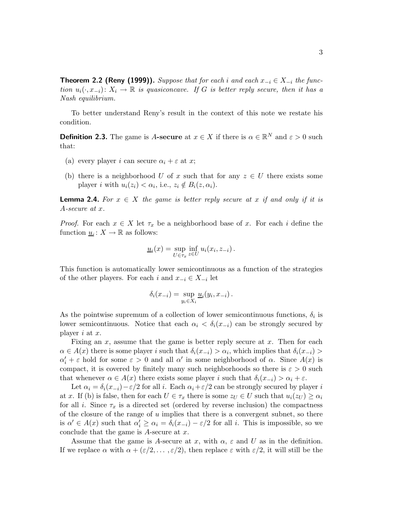**Theorem 2.2 (Reny (1999)).** Suppose that for each i and each  $x_{-i} \in X_{-i}$  the function  $u_i(\cdot,x_{-i}): X_i \to \mathbb{R}$  is quasiconcave. If G is better reply secure, then it has a Nash equilibrium.

To better understand Reny's result in the context of this note we restate his condition.

**Definition 2.3.** The game is A-secure at  $x \in X$  if there is  $\alpha \in \mathbb{R}^N$  and  $\varepsilon > 0$  such that:

- (a) every player i can secure  $\alpha_i + \varepsilon$  at x;
- (b) there is a neighborhood U of x such that for any  $z \in U$  there exists some player *i* with  $u_i(z_i) < \alpha_i$ , i.e.,  $z_i \notin B_i(z, \alpha_i)$ .

**Lemma 2.4.** For  $x \in X$  the game is better reply secure at x if and only if it is A-secure at x.

*Proof.* For each  $x \in X$  let  $\tau_x$  be a neighborhood base of x. For each i define the function  $\underline{u}_i: X \to \mathbb{R}$  as follows:

$$
\underline{u}_i(x) = \sup_{U \in \tau_x} \inf_{z \in U} u_i(x_i, z_{-i}).
$$

This function is automatically lower semicontinuous as a function of the strategies of the other players. For each i and  $x_{-i} \in X_{-i}$  let

$$
\delta_i(x_{-i}) = \sup_{y_i \in X_i} \underline{u}_i(y_i, x_{-i}).
$$

As the pointwise supremum of a collection of lower semicontinuous functions,  $\delta_i$  is lower semicontinuous. Notice that each  $\alpha_i < \delta_i(x_{-i})$  can be strongly secured by player  $i$  at  $x$ .

Fixing an  $x$ , assume that the game is better reply secure at  $x$ . Then for each  $\alpha \in A(x)$  there is some player i such that  $\delta_i(x_{-i}) > \alpha_i$ , which implies that  $\delta_i(x_{-i}) >$  $\alpha'_i + \varepsilon$  hold for some  $\varepsilon > 0$  and all  $\alpha'$  in some neighborhood of  $\alpha$ . Since  $A(x)$  is compact, it is covered by finitely many such neighborhoods so there is  $\varepsilon > 0$  such that whenever  $\alpha \in A(x)$  there exists some player i such that  $\delta_i(x_{-i}) > \alpha_i + \varepsilon$ .

Let  $\alpha_i = \delta_i(x_{-i}) - \varepsilon/2$  for all i. Each  $\alpha_i + \varepsilon/2$  can be strongly secured by player i at x. If (b) is false, then for each  $U \in \tau_x$  there is some  $z_U \in U$  such that  $u_i(z_U) \geq \alpha_i$ for all i. Since  $\tau_x$  is a directed set (ordered by reverse inclusion) the compactness of the closure of the range of  $u$  implies that there is a convergent subnet, so there is  $\alpha' \in A(x)$  such that  $\alpha'_i \geq \alpha_i = \delta_i(x_{-i}) - \varepsilon/2$  for all *i*. This is impossible, so we conclude that the game is  $A$ -secure at  $x$ .

Assume that the game is A-secure at x, with  $\alpha$ ,  $\varepsilon$  and U as in the definition. If we replace  $\alpha$  with  $\alpha + (\varepsilon/2, \ldots, \varepsilon/2)$ , then replace  $\varepsilon$  with  $\varepsilon/2$ , it will still be the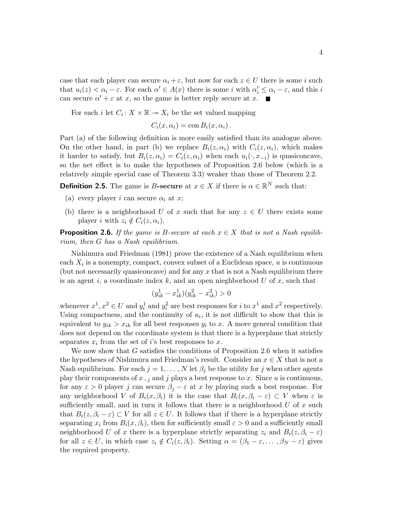case that each player can secure  $\alpha_i + \varepsilon$ , but now for each  $z \in U$  there is some i such that  $u_i(z) < \alpha_i - \varepsilon$ . For each  $\alpha' \in A(x)$  there is some i with  $\alpha'_i \leq \alpha_i - \varepsilon$ , and this i can secure  $\alpha' + \varepsilon$  at x, so the game is better reply secure at x.

For each *i* let  $C_i: X \times \mathbb{R} \to X_i$  be the set valued mapping

 $C_i(x, \alpha_i) = \text{con } B_i(x, \alpha_i).$ 

Part (a) of the following definition is more easily satisfied than its analogue above. On the other hand, in part (b) we replace  $B_i(z, \alpha_i)$  with  $C_i(z, \alpha_i)$ , which makes it harder to satisfy, but  $B_i(z, \alpha_i) = C_i(z, \alpha_i)$  when each  $u_i(\cdot, x_{-i})$  is quasiconcave, so the net effect is to make the hypotheses of Proposition 2.6 below (which is a relatively simple special case of Theorem 3.3) weaker than those of Theorem 2.2.

**Definition 2.5.** The game is B-secure at  $x \in X$  if there is  $\alpha \in \mathbb{R}^N$  such that:

- (a) every player i can secure  $\alpha_i$  at x;
- (b) there is a neighborhood U of x such that for any  $z \in U$  there exists some player i with  $z_i \notin C_i(z, \alpha_i)$ .

**Proposition 2.6.** If the game is B-secure at each  $x \in X$  that is not a Nash equilibrium, then G has a Nash equilibrium.

Nishimura and Friedman (1981) prove the existence of a Nash equilibrium when each  $X_i$  is a nonempty, compact, convex subset of a Euclidean space,  $u$  is continuous (but not necessarily quasiconcave) and for any  $x$  that is not a Nash equilibrium there is an agent i, a coordinate index k, and an open nieghborhood  $U$  of x, such that

$$
(y_{ik}^1 - x_{ik}^1)(y_{ik}^2 - x_{ik}^2) > 0
$$

whenever  $x^1, x^2 \in U$  and  $y_i^1$  and  $y_i^2$  are best responses for *i* to  $x^1$  and  $x^2$  respectively. Using compactness, and the continuity of  $u_i$ , it is not difficult to show that this is equivalent to  $y_{ik} > x_{ik}$  for all best responses  $y_i$  to x. A more general condition that does not depend on the coordinate system is that there is a hyperplane that strictly separates  $x_i$  from the set of i's best responses to x.

We now show that  $G$  satisfies the conditions of Proposition 2.6 when it satisfies the hypotheses of Nishimura and Friedman's result. Consider an  $x \in X$  that is not a Nash equilibrium. For each  $j = 1, \ldots, N$  let  $\beta_j$  be the utility for j when other agents play their components of  $x_{-j}$  and j plays a best response to x. Since u is continuous, for any  $\varepsilon > 0$  player j can secure  $\beta_j - \varepsilon$  at x by playing such a best response. For any neighborhood V of  $B_i(x, \beta_i)$  it is the case that  $B_i(x, \beta_i - \varepsilon) \subset V$  when  $\varepsilon$  is sufficiently small, and in turn it follows that there is a neighborhood  $U$  of  $x$  such that  $B_i(z, \beta_i - \varepsilon) \subset V$  for all  $z \in U$ . It follows that if there is a hyperplane strictly separating  $x_i$  from  $B_i(x, \beta_i)$ , then for sufficiently small  $\varepsilon > 0$  and a sufficiently small neighborhood U of x there is a hyperplane strictly separating  $z_i$  and  $B_i(z, \beta_i - \varepsilon)$ for all  $z \in U$ , in which case  $z_i \notin C_i(z, \beta_i)$ . Setting  $\alpha = (\beta_1 - \varepsilon, \dots, \beta_N - \varepsilon)$  gives the required property.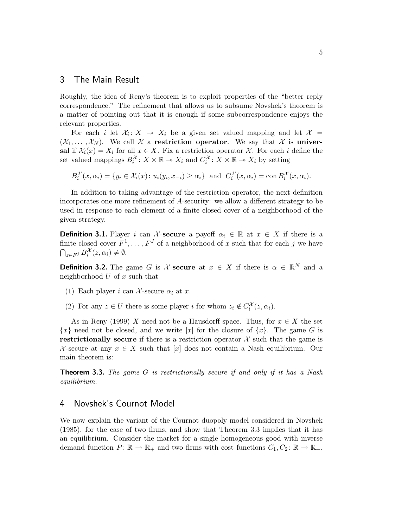#### 3 The Main Result

Roughly, the idea of Reny's theorem is to exploit properties of the "better reply correspondence." The refinement that allows us to subsume Novshek's theorem is a matter of pointing out that it is enough if some subcorrespondence enjoys the relevant properties.

For each i let  $\mathcal{X}_i: X \to X_i$  be a given set valued mapping and let  $\mathcal{X} =$  $(\mathcal{X}_1,\ldots,\mathcal{X}_N)$ . We call X a restriction operator. We say that X is universal if  $\mathcal{X}_i(x) = X_i$  for all  $x \in X$ . Fix a restriction operator X. For each i define the set valued mappings  $B_i^{\mathcal{X}}: X \times \mathbb{R} \to X_i$  and  $C_i^{\mathcal{X}}: X \times \mathbb{R} \to X_i$  by setting

 $B_i^{\mathcal{X}}(x,\alpha_i) = \{y_i \in \mathcal{X}_i(x) \colon u_i(y_i,x_{-i}) \ge \alpha_i\}$  and  $C_i^{\mathcal{X}}(x,\alpha_i) = \text{con } B_i^{\mathcal{X}}(x,\alpha_i)$ .

In addition to taking advantage of the restriction operator, the next definition incorporates one more refinement of A-security: we allow a different strategy to be used in response to each element of a finite closed cover of a neighborhood of the given strategy.

**Definition 3.1.** Player i can X-secure a payoff  $\alpha_i \in \mathbb{R}$  at  $x \in X$  if there is a finite closed cover  $F^1, \ldots, F^J$  of a neighborhood of x such that for each j we have  $\bigcap_{z \in F^j} B_i^{\mathcal{X}}(z, \alpha_i) \neq \emptyset.$ 

**Definition 3.2.** The game G is X-secure at  $x \in X$  if there is  $\alpha \in \mathbb{R}^N$  and a neighborhood  $U$  of  $x$  such that

- (1) Each player i can X-secure  $\alpha_i$  at x.
- (2) For any  $z \in U$  there is some player i for whom  $z_i \notin C_i^{\mathcal{X}}(z, \alpha_i)$ .

As in Reny (1999) X need not be a Hausdorff space. Thus, for  $x \in X$  the set  $\{x\}$  need not be closed, and we write  $[x]$  for the closure of  $\{x\}$ . The game G is restrictionally secure if there is a restriction operator  $\mathcal X$  such that the game is X-secure at any  $x \in X$  such that [x] does not contain a Nash equilibrium. Our main theorem is:

**Theorem 3.3.** The game  $G$  is restrictionally secure if and only if it has a Nash equilibrium.

#### 4 Novshek's Cournot Model

We now explain the variant of the Cournot duopoly model considered in Novshek (1985), for the case of two firms, and show that Theorem 3.3 implies that it has an equilibrium. Consider the market for a single homogeneous good with inverse demand function  $P: \mathbb{R} \to \mathbb{R}_+$  and two firms with cost functions  $C_1, C_2: \mathbb{R} \to \mathbb{R}_+$ .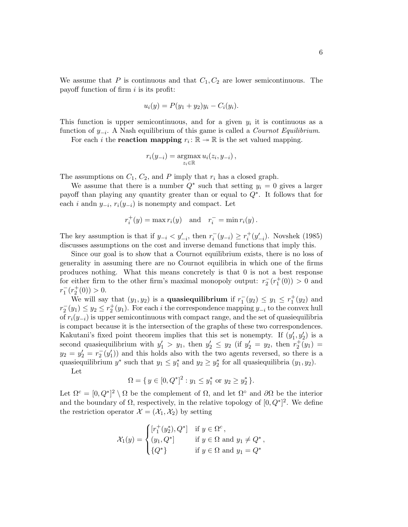We assume that P is continuous and that  $C_1, C_2$  are lower semicontinuous. The payoff function of firm  $i$  is its profit:

$$
u_i(y) = P(y_1 + y_2)y_i - C_i(y_i).
$$

This function is upper semicontinuous, and for a given  $y_i$  it is continuous as a function of  $y_{-i}$ . A Nash equilibrium of this game is called a *Cournot Equilibrium*.

For each *i* the **reaction mapping**  $r_i: \mathbb{R} \to \mathbb{R}$  is the set valued mapping.

$$
r_i(y_{-i}) = \operatorname*{argmax}_{z_i \in \mathbb{R}} u_i(z_i, y_{-i}),
$$

The assumptions on  $C_1$ ,  $C_2$ , and P imply that  $r_i$  has a closed graph.

We assume that there is a number  $Q^*$  such that setting  $y_i = 0$  gives a larger payoff than playing any quantity greater than or equal to Q<sup>∗</sup> . It follows that for each *i* andn  $y_{-i}$ ,  $r_i(y_{-i})$  is nonempty and compact. Let

$$
r_i^+(y) = \max r_i(y) \quad \text{and} \quad r_i^- = \min r_i(y).
$$

The key assumption is that if  $y_{-i} < y'_{-i}$ , then  $r_i^-(y_{-i}) \geq r_i^+$  $i^+(y'_{-i})$ . Novshek (1985) discusses assumptions on the cost and inverse demand functions that imply this.

Since our goal is to show that a Cournot equilibrium exists, there is no loss of generality in assuming there are no Cournot equilibria in which one of the firms produces nothing. What this means concretely is that 0 is not a best response for either firm to the other firm's maximal monopoly output:  $r_2^-(r_1^+(0)) > 0$  and  $r_1^-(r_2^+(0)) > 0.$ 

We will say that  $(y_1, y_2)$  is a **quasiequilibrium** if  $r_1^-(y_2) \le y_1 \le r_1^+(y_2)$  and  $r_2^-(y_1) \leq y_2 \leq r_2^+(y_1)$ . For each i the correspondence mapping  $y_{-i}$  to the convex hull of  $r_i(y_{-i})$  is upper semicontinuous with compact range, and the set of quasiequilibria is compact because it is the intersection of the graphs of these two correspondences. Kakutani's fixed point theorem implies that this set is nonempty. If  $(y'_1, y'_2)$  is a second quasiequilibrium with  $y'_1 > y_1$ , then  $y'_2 \le y_2$  (if  $y'_2 = y_2$ , then  $r_2^+(y_1) =$  $y_2 = y_2' = r_2^-(y_1')$  and this holds also with the two agents reversed, so there is a quasiequilibrium  $y^*$  such that  $y_1 \leq y_1^*$  and  $y_2 \geq y_2^*$  for all quasiequilibria  $(y_1, y_2)$ .

Let

$$
\Omega = \{ y \in [0, Q^*]^2 : y_1 \le y_1^* \text{ or } y_2 \ge y_2^* \}.
$$

Let  $\Omega^c = [0, Q^*]^2 \setminus \Omega$  be the complement of  $\Omega$ , and let  $\Omega^{\circ}$  and  $\partial \Omega$  be the interior and the boundary of  $\Omega$ , respectively, in the relative topology of  $[0, Q^*]^2$ . We define the restriction operator  $\mathcal{X} = (\mathcal{X}_1, \mathcal{X}_2)$  by setting

$$
\mathcal{X}_1(y) = \begin{cases} [r_1^+(y_2^*), Q^*] & \text{if } y \in \Omega^c, \\ (y_1, Q^*) & \text{if } y \in \Omega \text{ and } y_1 \neq Q^*, \\ \{Q^*\} & \text{if } y \in \Omega \text{ and } y_1 = Q^* \end{cases}
$$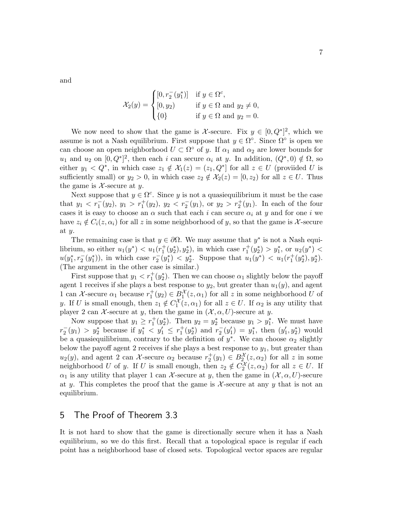and

$$
\mathcal{X}_2(y) = \begin{cases} [0, r_2^-(y_1^*)] & \text{if } y \in \Omega^c, \\ [0, y_2) & \text{if } y \in \Omega \text{ and } y_2 \neq 0, \\ \{0\} & \text{if } y \in \Omega \text{ and } y_2 = 0. \end{cases}
$$

We now need to show that the game is X-secure. Fix  $y \in [0, Q^*]^2$ , which we assume is not a Nash equilibrium. First suppose that  $y \in \Omega^{\circ}$ . Since  $\Omega^{\circ}$  is open we can choose an open neighborhood  $U \subset \Omega^{\circ}$  of y. If  $\alpha_1$  and  $\alpha_2$  are lower bounds for  $u_1$  and  $u_2$  on  $[0, Q^*]^2$ , then each i can secure  $\alpha_i$  at y. In addition,  $(Q^*, 0) \notin \Omega$ , so either  $y_1 < Q^*$ , in which case  $z_1 \notin \mathcal{X}_1(z) = (z_1, Q^*]$  for all  $z \in U$  (provided U is sufficiently small) or  $y_2 > 0$ , in which case  $z_2 \notin \mathcal{X}_2(z) = [0, z_2)$  for all  $z \in U$ . Thus the game is  $\mathcal{X}$ -secure at y.

Next suppose that  $y \in \Omega^c$ . Since y is not a quasiequilibrium it must be the case that  $y_1 < r_1^-(y_2)$ ,  $y_1 > r_1^+(y_2)$ ,  $y_2 < r_2^-(y_1)$ , or  $y_2 > r_2^+(y_1)$ . In each of the four cases it is easy to choose an  $\alpha$  such that each i can secure  $\alpha_i$  at y and for one i we have  $z_i \notin C_i(z, \alpha_i)$  for all z in some neighborhood of y, so that the game is X-secure at y.

The remaining case is that  $y \in \partial \Omega$ . We may assume that  $y^*$  is not a Nash equilibrium, so either  $u_1(y^*) < u_1(r_1^+(y_2^*), y_2^*)$ , in which case  $r_1^+(y_2^*) > y_1^*$ , or  $u_2(y^*) <$  $u(y_1^*, r_2^-(y_1^*)),$  in which case  $r_2^-(y_1^*) < y_2^*$ . Suppose that  $u_1(y^*) < u_1(r_1^+(y_2^*), y_2^*).$ (The argument in the other case is similar.)

First suppose that  $y_1 < r_1^+(y_2^*)$ . Then we can choose  $\alpha_1$  slightly below the payoff agent 1 receives if she plays a best response to  $y_2$ , but greater than  $u_1(y)$ , and agent 1 can X-secure  $\alpha_1$  because  $r_1^+(y_2) \in B_1^{\mathcal{X}}(z,\alpha_1)$  for all z in some neighborhood U of y. If U is small enough, then  $z_1 \notin C_1^{\mathcal{X}}(z, \alpha_1)$  for all  $z \in U$ . If  $\alpha_2$  is any utility that player 2 can  $\mathcal X$ -secure at y, then the game in  $(\mathcal X, \alpha, U)$ -secure at y.

Now suppose that  $y_1 \ge r_1^+(y_2^*)$ . Then  $y_2 = y_2^*$  because  $y_1 > y_1^*$ . We must have  $r_2^-(y_1) > y_2^*$  because if  $y_1^* < y_1' \leq r_1^+(y_2^*)$  and  $r_2^-(y_1') = y_1^*$ , then  $(y_1', y_2^*)$  would be a quasiequilibrium, contrary to the definition of  $y^*$ . We can choose  $\alpha_2$  slightly below the payoff agent 2 receives if she plays a best response to  $y_1$ , but greater than  $u_2(y)$ , and agent 2 can X-secure  $\alpha_2$  because  $r_2^+(y_1) \in B_2^{\mathcal{X}}(z,\alpha_2)$  for all z in some neighborhood U of y. If U is small enough, then  $z_2 \notin C_2^{\mathcal{X}}(z, \alpha_2)$  for all  $z \in U$ . If  $\alpha_1$  is any utility that player 1 can X-secure at y, then the game in  $(\mathcal{X}, \alpha, U)$ -secure at y. This completes the proof that the game is  $\mathcal{X}$ -secure at any y that is not an equilibrium.

#### 5 The Proof of Theorem 3.3

It is not hard to show that the game is directionally secure when it has a Nash equilibrium, so we do this first. Recall that a topological space is regular if each point has a neighborhood base of closed sets. Topological vector spaces are regular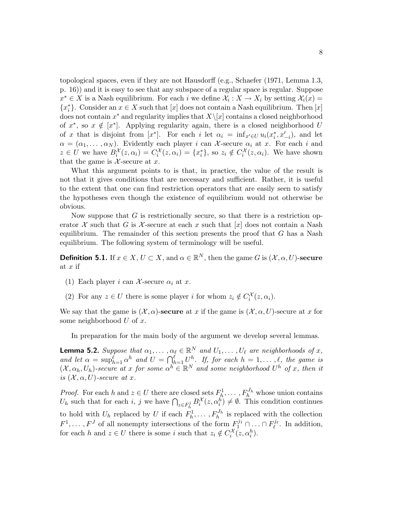topological spaces, even if they are not Hausdorff (e.g., Schaefer (1971, Lemma 1.3, p. 16)) and it is easy to see that any subspace of a regular space is regular. Suppose  $x^* \in X$  is a Nash equilibrium. For each i we define  $\mathcal{X}_i : X \to X_i$  by setting  $\mathcal{X}_i(x) =$  ${x^*_{i}}$ . Consider an  $x \in X$  such that  $[x]$  does not contain a Nash equilibrium. Then  $[x]$ does not contain  $x^*$  and regularity implies that  $X\setminus [x]$  contains a closed neighborhood of  $x^*$ , so  $x \notin [x^*]$ . Applying regularity again, there is a closed neighborhood U of x that is disjoint from  $[x^*]$ . For each i let  $\alpha_i = \inf_{x' \in U} u_i(x_i^*, x'_{-i}),$  and let  $\alpha = (\alpha_1, \dots, \alpha_N)$ . Evidently each player i can X-secure  $\alpha_i$  at x. For each i and  $z \in U$  we have  $B_i^{\mathcal{X}}(z, \alpha_i) = C_i^{\mathcal{X}}(z, \alpha_i) = \{x_i^*\}$ , so  $z_i \notin C_i^{\mathcal{X}}(z, \alpha_i)$ . We have shown that the game is  $X$ -secure at x.

What this argument points to is that, in practice, the value of the result is not that it gives conditions that are necessary and sufficient. Rather, it is useful to the extent that one can find restriction operators that are easily seen to satisfy the hypotheses even though the existence of equilibrium would not otherwise be obvious.

Now suppose that  $G$  is restrictionally secure, so that there is a restriction operator X such that G is X-secure at each x such that  $[x]$  does not contain a Nash equilibrium. The remainder of this section presents the proof that  $G$  has a Nash equilibrium. The following system of terminology will be useful.

**Definition 5.1.** If  $x \in X, U \subset X$ , and  $\alpha \in \mathbb{R}^N$ , then the game G is  $(\mathcal{X}, \alpha, U)$ -secure at  $x$  if

- (1) Each player i can X-secure  $\alpha_i$  at x.
- (2) For any  $z \in U$  there is some player i for whom  $z_i \notin C_i^{\mathcal{X}}(z, \alpha_i)$ .

We say that the game is  $(\mathcal{X}, \alpha)$ -secure at x if the game is  $(\mathcal{X}, \alpha, U)$ -secure at x for some neighborhood  $U$  of  $x$ .

In preparation for the main body of the argument we develop several lemmas.

**Lemma 5.2.** Suppose that  $\alpha_1, \dots, \alpha_\ell \in \mathbb{R}^N$  and  $U_1, \dots, U_\ell$  are neighborhoods of x, and let  $\alpha = \sup_{h=1}^{\ell} \alpha^h$  and  $U = \bigcap_{h=1}^{\ell} U_{\lambda}^h$ . If, for each  $h = 1, \ldots, \ell$ , the game is  $(X, \alpha_h, U_h)$ -secure at x for some  $\alpha^h \in \mathbb{R}^N$  and some neighborhood  $U^h$  of x, then it is  $(X, \alpha, U)$ -secure at x.

*Proof.* For each h and  $z \in U$  there are closed sets  $F_h^1, \ldots, F_h^{J_h}$  whose union contains  $U_h$  such that for each i, j we have  $\bigcap_{z \in F_h^j} B_i^{\mathcal{X}}(z, \alpha_i^h) \neq \emptyset$ . This condition continues to hold with  $U_h$  replaced by U if each  $F_h^1$  $h_h^1, \ldots, F_h^{J_h}$  is replaced with the collection  $F^1, \ldots, F^J$  of all nonempty intersections of the form  $F_1^{j_1} \cap \ldots \cap F_\ell^{j_\ell}$ . In addition, for each h and  $z \in U$  there is some i such that  $z_i \notin C_i^{\mathcal{X}}(z, \alpha_i^h)$ .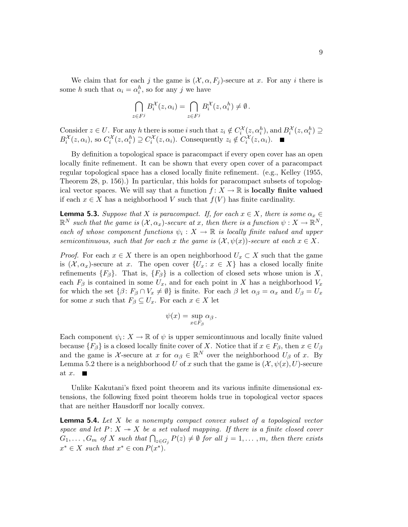We claim that for each j the game is  $(\mathcal{X}, \alpha, F_j)$ -secure at x. For any i there is some h such that  $\alpha_i = \alpha_i^h$ , so for any j we have

$$
\bigcap_{z \in F^j} B_i^{\mathcal{X}}(z, \alpha_i) = \bigcap_{z \in F^j} B_i^{\mathcal{X}}(z, \alpha_i^h) \neq \emptyset.
$$

Consider  $z \in U$ . For any h there is some i such that  $z_i \notin C_i^{\mathcal{X}}(z, \alpha_i^h)$ , and  $B_i^{\mathcal{X}}(z, \alpha_i^h) \supseteq$  $B_i^{\mathcal{X}}(z,\alpha_i)$ , so  $C_i^{\mathcal{X}}(z,\alpha_i^h) \supseteq C_i^{\mathcal{X}}(z,\alpha_i)$ . Consequently  $z_i \notin C_i^{\mathcal{X}}(z,\alpha_i)$ .

By definition a topological space is paracompact if every open cover has an open locally finite refinement. It can be shown that every open cover of a paracompact regular topological space has a closed locally finite refinement. (e.g., Kelley (1955, Theorem 28, p. 156).) In particular, this holds for paracompact subsets of topological vector spaces. We will say that a function  $f: X \to \mathbb{R}$  is locally finite valued if each  $x \in X$  has a neighborhood V such that  $f(V)$  has finite cardinality.

**Lemma 5.3.** Suppose that X is paracompact. If, for each  $x \in X$ , there is some  $\alpha_x \in$  $\mathbb{R}^N$  such that the game is  $(\mathcal{X}, \alpha_x)$ -secure at x, then there is a function  $\psi: X \to \mathbb{R}^N$ , each of whose component functions  $\psi_i: X \to \mathbb{R}$  is locally finite valued and upper semicontinuous, such that for each x the game is  $(\mathcal{X}, \psi(x))$ -secure at each  $x \in X$ .

*Proof.* For each  $x \in X$  there is an open neighborhood  $U_x \subset X$  such that the game is  $(\mathcal{X}, \alpha_x)$ -secure at x. The open cover  $\{U_x : x \in X\}$  has a closed locally finite refinements  $\{F_\beta\}$ . That is,  $\{F_\beta\}$  is a collection of closed sets whose union is X, each  $F_\beta$  is contained in some  $U_x$ , and for each point in X has a neighborhood  $V_x$ for which the set  $\{\beta: F_\beta \cap V_x \neq \emptyset\}$  is finite. For each  $\beta$  let  $\alpha_\beta = \alpha_x$  and  $U_\beta = U_x$ for some x such that  $F_\beta \subseteq U_x$ . For each  $x \in X$  let

$$
\psi(x) = \sup_{x \in F_{\beta}} \alpha_{\beta}.
$$

Each component  $\psi_i: X \to \mathbb{R}$  of  $\psi$  is upper semicontinuous and locally finite valued because  ${F_\beta}$  is a closed locally finite cover of X. Notice that if  $x \in F_\beta$ , then  $x \in U_\beta$ and the game is X-secure at x for  $\alpha_{\beta} \in \mathbb{R}^{N}$  over the neighborhood  $U_{\beta}$  of x. By Lemma 5.2 there is a neighborhood U of x such that the game is  $(\mathcal{X}, \psi(x), U)$ -secure at  $x$ .

Unlike Kakutani's fixed point theorem and its various infinite dimensional extensions, the following fixed point theorem holds true in topological vector spaces that are neither Hausdorff nor locally convex.

**Lemma 5.4.** Let  $X$  be a nonempty compact convex subset of a topological vector space and let  $P: X \rightarrow X$  be a set valued mapping. If there is a finite closed cover  $G_1, \ldots, G_m$  of X such that  $\bigcap_{z \in G_j} P(z) \neq \emptyset$  for all  $j = 1, \ldots, m$ , then there exists  $x^* \in X$  such that  $x^* \in \text{con } P(x^*)$ .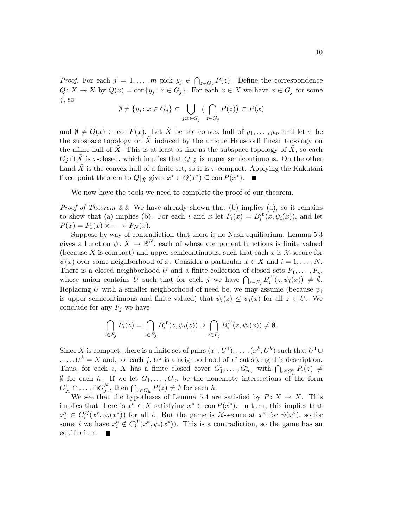*Proof.* For each  $j = 1, ..., m$  pick  $y_j \in \bigcap_{z \in G_j} P(z)$ . Define the correspondence  $Q: X \to X$  by  $Q(x) = \text{con}\{y_j : x \in G_j\}$ . For each  $x \in X$  we have  $x \in G_j$  for some  $j$ , so

$$
\emptyset \neq \{y_j \colon x \in G_j\} \subset \bigcup_{j:x \in G_j} \big(\bigcap_{z \in G_j} P(z)\big) \subset P(x)
$$

and  $\emptyset \neq Q(x) \subset \text{con } P(x)$ . Let  $\tilde{X}$  be the convex hull of  $y_1, \ldots, y_m$  and let  $\tau$  be the subspace topology on  $X$  induced by the unique Hausdorff linear topology on the affine hull of  $X$ . This is at least as fine as the subspace topology of  $X$ , so each  $G_j \cap X$  is  $\tau$ -closed, which implies that  $Q|_{\tilde{X}}$  is upper semicontinuous. On the other hand  $\tilde{X}$  is the convex hull of a finite set, so it is  $\tau$ -compact. Applying the Kakutani fixed point theorem to  $Q|_{\tilde{X}}$  gives  $x^* \in Q(x^*) \subseteq \text{con } P(x^*)$ .

We now have the tools we need to complete the proof of our theorem.

*Proof of Theorem 3.3.* We have already shown that (b) implies (a), so it remains to show that (a) implies (b). For each i and x let  $P_i(x) = B_i^{\mathcal{X}}(x, \psi_i(x))$ , and let  $P(x) = P_1(x) \times \cdots \times P_N(x)$ .

Suppose by way of contradiction that there is no Nash equilibrium. Lemma 5.3 gives a function  $\psi: X \to \mathbb{R}^N$ , each of whose component functions is finite valued (because X is compact) and upper semicontinuous, such that each x is  $\mathcal{X}$ -secure for  $\psi(x)$  over some neighborhood of x. Consider a particular  $x \in X$  and  $i = 1, \ldots, N$ . There is a closed neighborhood U and a finite collection of closed sets  $F_1, \ldots, F_m$ whose union contains U such that for each j we have  $\bigcap_{z \in F_j} B_i^{\mathcal{X}}(z, \psi_i(x)) \neq \emptyset$ . Replacing U with a smaller neighborhood of need be, we may assume (because  $\psi_i$ is upper semicontinuous and finite valued) that  $\psi_i(z) \leq \psi_i(x)$  for all  $z \in U$ . We conclude for any  $F_j$  we have

$$
\bigcap_{z \in F_j} P_i(z) = \bigcap_{z \in F_j} B_i^{\mathcal{X}}(z, \psi_i(z)) \supseteq \bigcap_{z \in F_j} B_i^{\mathcal{X}}(z, \psi_i(x)) \neq \emptyset.
$$

Since X is compact, there is a finite set of pairs  $(x^1, U^1), \ldots, (x^k, U^k)$  such that  $U^1 \cup$  $\ldots \cup U^k = X$  and, for each j,  $U^j$  is a neighborhood of  $x^j$  satisfying this description. Thus, for each i, X has a finite closed cover  $G_1^i, \ldots, G_{m_i}^i$  with  $\bigcap_{z \in G_h^i} P_i(z) \neq$  $\emptyset$  for each h. If we let  $G_1, \ldots, G_m$  be the nonempty intersections of the form  $G_{j_1}^1 \cap \ldots, \cap G_{j_n}^N$ , then  $\bigcap_{z \in G_h} P(z) \neq \emptyset$  for each h.

We see that the hypotheses of Lemma 5.4 are satisfied by  $P: X \rightarrow X$ . This implies that there is  $x^* \in X$  satisfying  $x^* \in \text{con } P(x^*)$ . In turn, this implies that  $x_i^* \in C_i^{\mathcal{X}}(x^*, \psi_i(x^*))$  for all i. But the game is X-secure at  $x^*$  for  $\psi(x^*)$ , so for some *i* we have  $x_i^* \notin C_i^{\mathcal{X}}(x^*, \psi_i(x^*))$ . This is a contradiction, so the game has an equilibrium.  $\blacksquare$